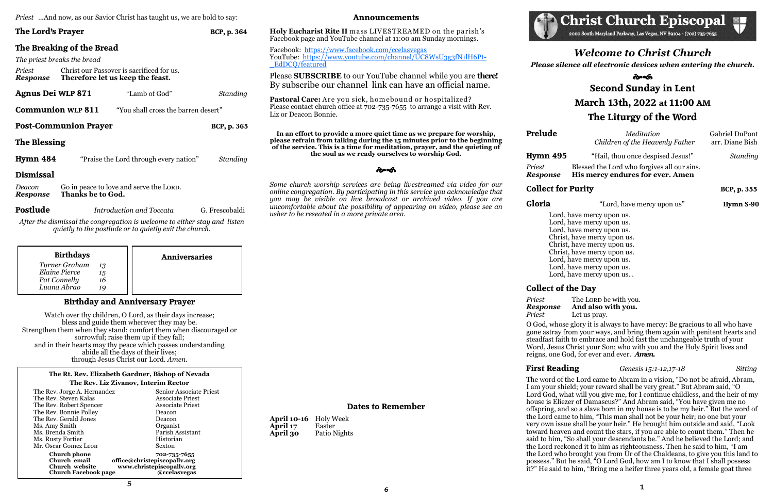|  |  | <i>Priest</i> And now, as our Savior Christ has taught us, we are bold to say: |
|--|--|--------------------------------------------------------------------------------|
|  |  |                                                                                |

# **The Lord's Prayer BCP, p. 364**

**The Breaking of the Bread** *The priest breaks the bread Priest* Christ our Passover is sacrificed for us. *Response* **Therefore let us keep the feast. Agnus Dei WLP 871** "Lamb of God" *Standing* **Communion WLP 811** "You shall cross the barren desert" **Post-Communion Prayer BCP, p. 365 The Blessing Hymn 484** "Praise the Lord through every nation" *Standing* **Dismissal** *Deacon* Go in peace to love and serve the LORD.<br>**Response** Thanks be to God. *Response* **Thanks be to God.** 

**Postlude** *Introduction and Toccata* G. Frescobaldi

**Pastoral Care:** Are you sick, homebound or hospitalized? Please contact church office at 702-735-7655 to arrange a visit with Rev. Liz or Deacon Bonnie.

*After the dismissal the congregation is welcome to either stay and listen quietly to the postlude or to quietly exit the church.*

### **Announcements**

**Holy Eucharist Rite II** m ass LIVESTREAMED on the parish's Facebook page and YouTube channel at 11:00 am Sunday mornings.

Facebook: <https://www.facebook.com/ccelasvegas> YouTube: [https://www.youtube.com/channel/UC8WsU3g3fN1lH6Pt](https://www.youtube.com/channel/UC8WsU3g3fN1lH6Pt-_EdDCQ/featured)-[\\_EdDCQ/featured](https://www.youtube.com/channel/UC8WsU3g3fN1lH6Pt-_EdDCQ/featured)

Please **SUBSCRIBE** to our YouTube channel while you are **there!**  By subscribe our channel link can have an official name.

**In an effort to provide a more quiet time as we prepare for worship, please refrain from talking during the 15 minutes prior to the beginning of the service. This is a time for meditation, prayer, and the quieting of the soul as we ready ourselves to worship God.**

సౌత

# సౌత **Second Sunday in Lent March 13th, 2022 at 11:00 AM The Liturgy of the Word**

**Prelude** Meditation Gabriel DuPont *Children of the Heavenly Father* arr. Diane Bish

*Priest* Blessed the Lord who forgives all our sins. *Response* **His mercy endures for ever. Amen**

**Gloria** "Lord, have mercy upon us" **Hymn S-90** 

*Some church worship services are being livestreamed via video for our online congregation. By participating in this service you acknowledge that you may be visible on live broadcast or archived video. If you are uncomfortable about the possibility of appearing on video, please see an usher to be reseated in a more private area.*

**Collect for Purity BCP, p. 355** 

Lord, have mercy upon us. Lord, have mercy upon us. Lord, have mercy upon us. Christ, have mercy upon us. Christ, have mercy upon us. Christ, have mercy upon us. Lord, have mercy upon us. Lord, have mercy upon us. Lord, have mercy upon us. .

**Dates to Remember**

*Priest* The LORD be with you. *Response* **And also with you.** *Priest* Let us pray.

**April 10-16** Holy Week **April 17** Easter **April 30** Patio Nights



2000 South Maryland Parkway, Las Vegas, NV 89104 - (702) 735-7655

## **Birthday and Anniversary Prayer**

Watch over thy children, O Lord, as their days increase; bless and guide them wherever they may be. Strengthen them when they stand; comfort them when discouraged or sorrowful; raise them up if they fall; and in their hearts may thy peace which passes understanding abide all the days of their lives; through Jesus Christ our Lord. *Amen.*

| <b>Birthdays</b>                                                    |                | <b>Anniversaries</b> |
|---------------------------------------------------------------------|----------------|----------------------|
| Turner Graham<br>13<br>Elaine Pierce<br>Pat Connelly<br>Luana Abrao | 15<br>16<br>10 |                      |

### **The Rt. Rev. Elizabeth Gardner, Bishop of Nevada The Rev. Liz Zivanov, Interim Rector**

| The Rev. Jorge A. Hernandez                                                          | <b>Senior Associate Priest</b>                                                            |
|--------------------------------------------------------------------------------------|-------------------------------------------------------------------------------------------|
| The Rev. Steven Kalas                                                                | <b>Associate Priest</b>                                                                   |
| The Rev. Robert Spencer                                                              | <b>Associate Priest</b>                                                                   |
| The Rev. Bonnie Polley                                                               | Deacon                                                                                    |
| The Rev. Gerald Jones                                                                | Deacon                                                                                    |
| Ms. Amy Smith                                                                        | Organist                                                                                  |
| Ms. Brenda Smith                                                                     | Parish Assistant                                                                          |
| Ms. Rusty Fortier                                                                    | Historian                                                                                 |
| Mr. Oscar Gomez Leon                                                                 | Sexton                                                                                    |
| <b>Church phone</b><br>Church email<br>Church website<br><b>Church Facebook page</b> | 702-735-7655<br>office@christepiscopallv.org<br>www.christepiscopally.org<br>@ccelasvegas |

*Welcome to Christ Church Please silence all electronic devices when entering the church.*

**Hymn 495** "Hail, thou once despised Jesus!" *Standing*

# **Collect of the Day**

O God, whose glory it is always to have mercy: Be gracious to all who have gone astray from your ways, and bring them again with penitent hearts and steadfast faith to embrace and hold fast the unchangeable truth of your Word, Jesus Christ your Son; who with you and the Holy Spirit lives and reigns, one God, for ever and ever. *Amen.*

### **First Reading** *Genesis 15:1-12,17-18 Sitting*

The word of the Lord came to Abram in a vision, "Do not be afraid, Abram, I am your shield; your reward shall be very great." But Abram said, "O Lord God, what will you give me, for I continue childless, and the heir of my house is Eliezer of Damascus?" And Abram said, "You have given me no offspring, and so a slave born in my house is to be my heir." But the word of the Lord came to him, "This man shall not be your heir; no one but your very own issue shall be your heir." He brought him outside and said, "Look toward heaven and count the stars, if you are able to count them." Then he said to him, "So shall your descendants be." And he believed the Lord; and the Lord reckoned it to him as righteousness. Then he said to him, "I am the Lord who brought you from Ur of the Chaldeans, to give you this land to possess." But he said, "O Lord God, how am I to know that I shall possess it?" He said to him, "Bring me a heifer three years old, a female goat three